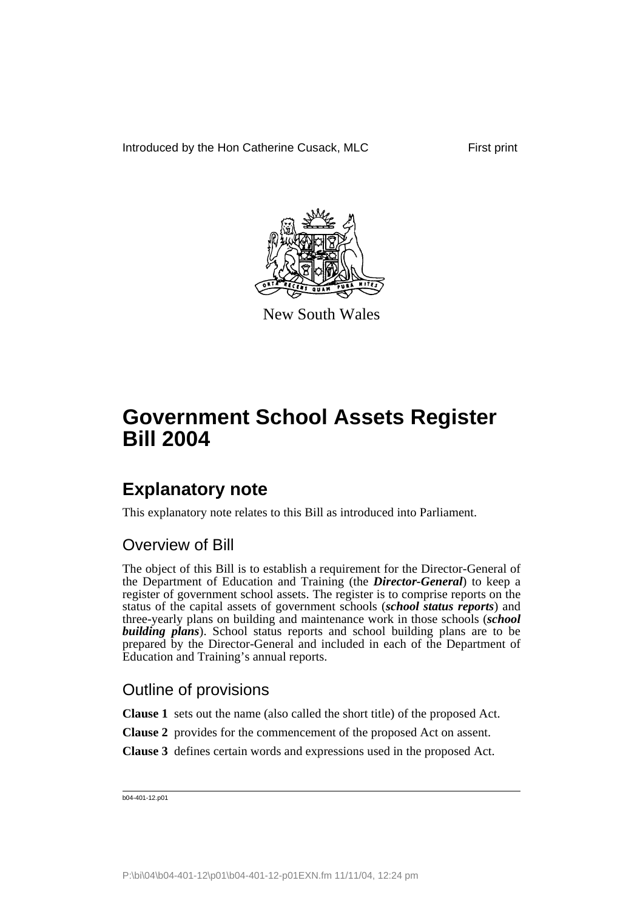Introduced by the Hon Catherine Cusack, MLC First print



New South Wales

# **Government School Assets Register Bill 2004**

## **Explanatory note**

This explanatory note relates to this Bill as introduced into Parliament.

### Overview of Bill

The object of this Bill is to establish a requirement for the Director-General of the Department of Education and Training (the *Director-General*) to keep a register of government school assets. The register is to comprise reports on the status of the capital assets of government schools (*school status reports*) and three-yearly plans on building and maintenance work in those schools (*school building plans*). School status reports and school building plans are to be prepared by the Director-General and included in each of the Department of Education and Training's annual reports.

### Outline of provisions

**Clause 1** sets out the name (also called the short title) of the proposed Act.

- **Clause 2** provides for the commencement of the proposed Act on assent.
- **Clause 3** defines certain words and expressions used in the proposed Act.

b04-401-12.p01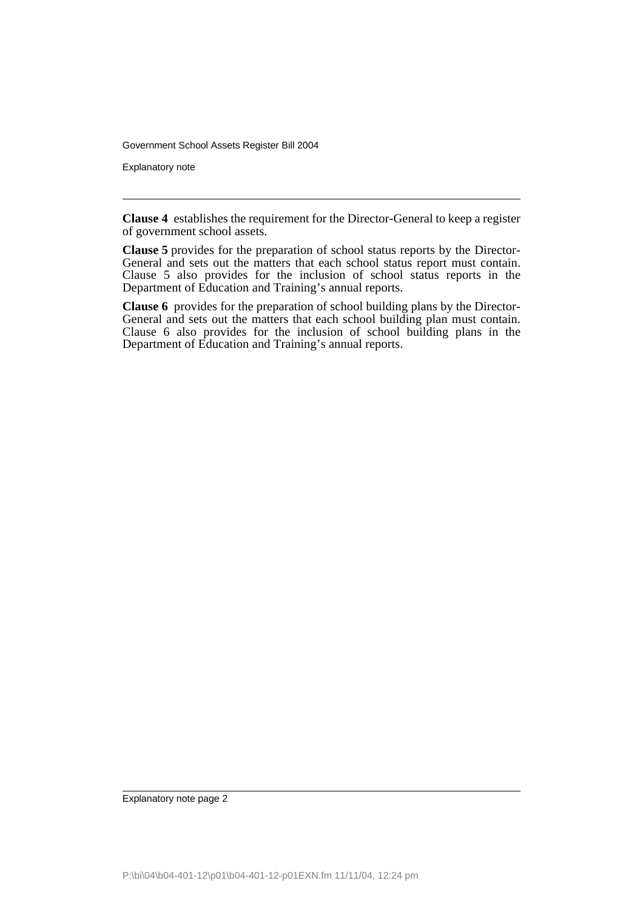Government School Assets Register Bill 2004

Explanatory note

**Clause 4** establishes the requirement for the Director-General to keep a register of government school assets.

**Clause 5** provides for the preparation of school status reports by the Director-General and sets out the matters that each school status report must contain. Clause 5 also provides for the inclusion of school status reports in the Department of Education and Training's annual reports.

**Clause 6** provides for the preparation of school building plans by the Director-General and sets out the matters that each school building plan must contain. Clause 6 also provides for the inclusion of school building plans in the Department of Education and Training's annual reports.

Explanatory note page 2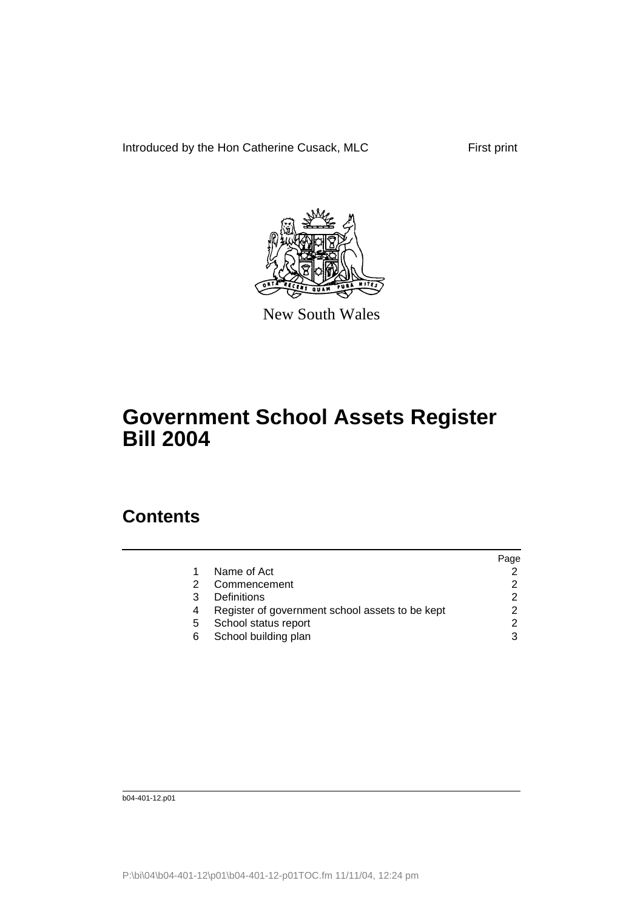Introduced by the Hon Catherine Cusack, MLC First print



New South Wales

## **Government School Assets Register Bill 2004**

### **Contents**

|    |                                                 | Page          |
|----|-------------------------------------------------|---------------|
|    | Name of Act                                     |               |
|    | Commencement                                    |               |
|    | Definitions                                     | $\mathcal{P}$ |
|    | Register of government school assets to be kept | 2             |
| 5. | School status report                            | 2             |
| 6  | School building plan                            | 3             |
|    |                                                 |               |

b04-401-12.p01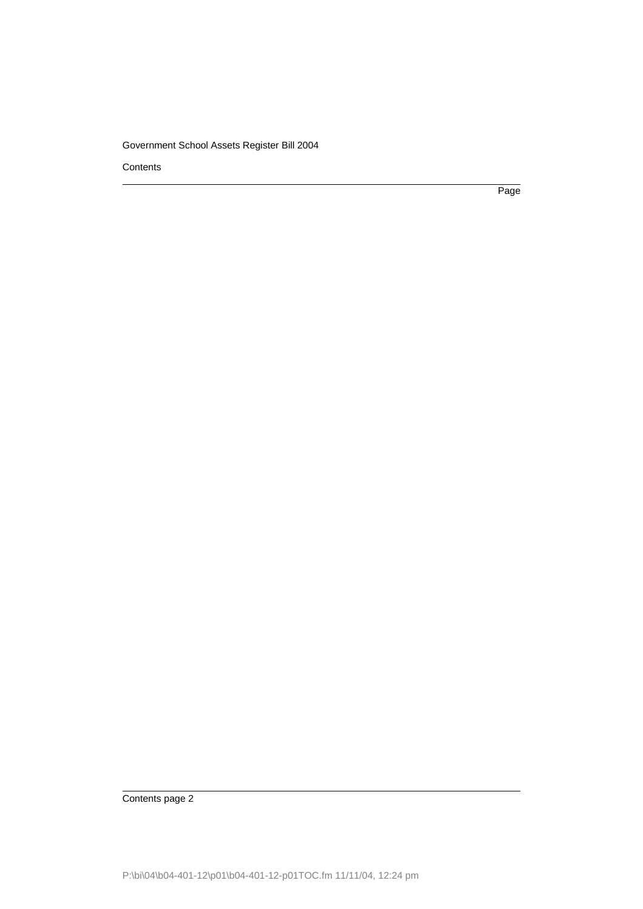#### Government School Assets Register Bill 2004

**Contents** 

Page

Contents page 2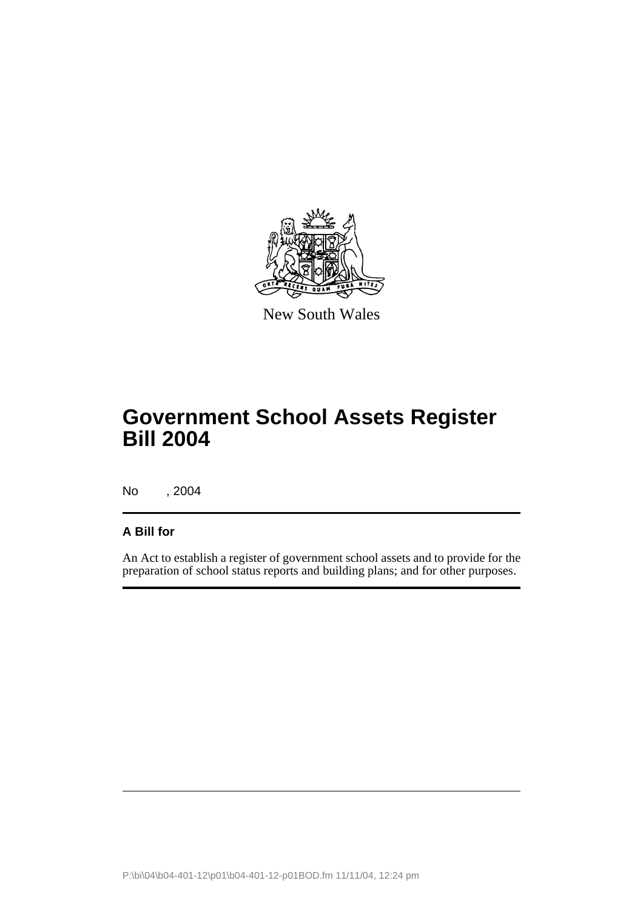

New South Wales

# **Government School Assets Register Bill 2004**

No , 2004

#### **A Bill for**

An Act to establish a register of government school assets and to provide for the preparation of school status reports and building plans; and for other purposes.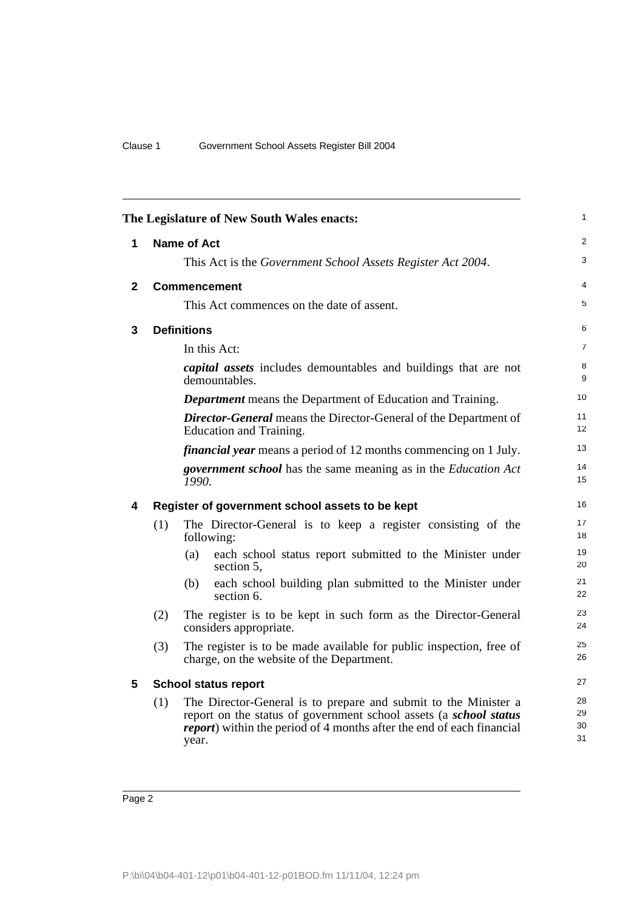| 1<br>The Legislature of New South Wales enacts: |                    |                                                                                                                                                                                                                                |                      |  |  |
|-------------------------------------------------|--------------------|--------------------------------------------------------------------------------------------------------------------------------------------------------------------------------------------------------------------------------|----------------------|--|--|
| 1                                               | <b>Name of Act</b> |                                                                                                                                                                                                                                |                      |  |  |
|                                                 |                    | This Act is the Government School Assets Register Act 2004.                                                                                                                                                                    | 3                    |  |  |
| $\mathbf{2}$                                    |                    | <b>Commencement</b>                                                                                                                                                                                                            | 4                    |  |  |
|                                                 |                    | This Act commences on the date of assent.                                                                                                                                                                                      | 5                    |  |  |
| 3                                               |                    | <b>Definitions</b>                                                                                                                                                                                                             | 6                    |  |  |
|                                                 |                    | In this Act:                                                                                                                                                                                                                   | $\overline{7}$       |  |  |
|                                                 |                    | <i>capital assets</i> includes demountables and buildings that are not<br>demountables.                                                                                                                                        | 8<br>9               |  |  |
|                                                 |                    | <b>Department</b> means the Department of Education and Training.                                                                                                                                                              | 10                   |  |  |
|                                                 |                    | <b>Director-General</b> means the Director-General of the Department of<br>Education and Training.                                                                                                                             |                      |  |  |
|                                                 |                    | <i>financial year</i> means a period of 12 months commencing on 1 July.                                                                                                                                                        | 13                   |  |  |
|                                                 |                    | <i>government school</i> has the same meaning as in the <i>Education Act</i><br>1990.                                                                                                                                          | 14<br>15             |  |  |
| 4                                               |                    | Register of government school assets to be kept                                                                                                                                                                                | 16                   |  |  |
|                                                 | (1)                | The Director-General is to keep a register consisting of the<br>following:                                                                                                                                                     | 17<br>18             |  |  |
|                                                 |                    | (a)<br>each school status report submitted to the Minister under<br>section 5,                                                                                                                                                 | 19<br>20             |  |  |
|                                                 |                    | each school building plan submitted to the Minister under<br>(b)<br>section 6.                                                                                                                                                 | 21<br>22             |  |  |
|                                                 | (2)                | The register is to be kept in such form as the Director-General<br>considers appropriate.                                                                                                                                      | 23<br>24             |  |  |
|                                                 | (3)                | The register is to be made available for public inspection, free of<br>charge, on the website of the Department.                                                                                                               | 25<br>26             |  |  |
| 5                                               |                    | <b>School status report</b>                                                                                                                                                                                                    | 27                   |  |  |
|                                                 | (1)                | The Director-General is to prepare and submit to the Minister a<br>report on the status of government school assets (a school status<br><i>report</i> ) within the period of 4 months after the end of each financial<br>year. | 28<br>29<br>30<br>31 |  |  |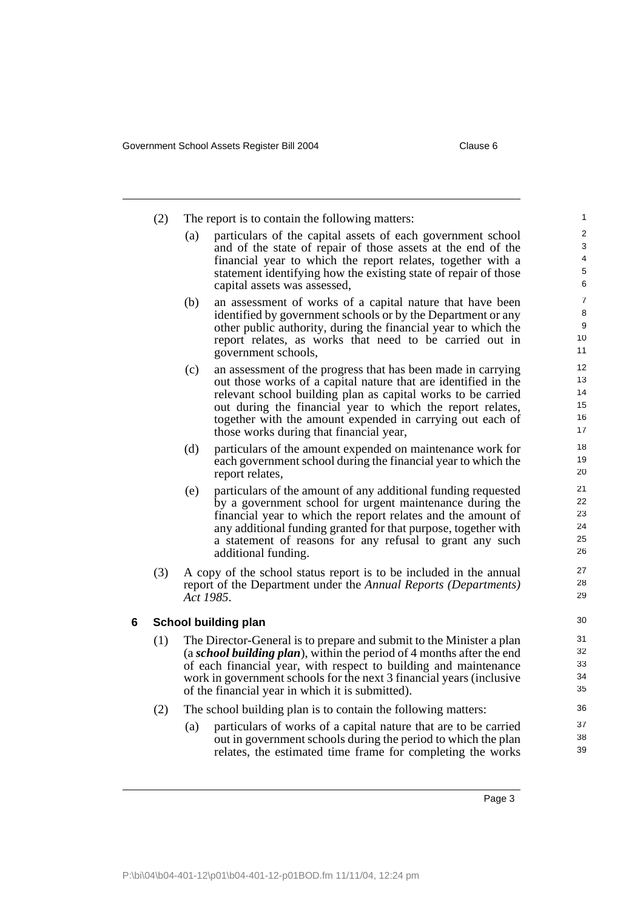|   | (2) | The report is to contain the following matters:                                                                                                                                                                                                                                                                                               |                                                                                                                                                                                                                                                                                                                                                                      |                                      |  |
|---|-----|-----------------------------------------------------------------------------------------------------------------------------------------------------------------------------------------------------------------------------------------------------------------------------------------------------------------------------------------------|----------------------------------------------------------------------------------------------------------------------------------------------------------------------------------------------------------------------------------------------------------------------------------------------------------------------------------------------------------------------|--------------------------------------|--|
|   |     | (a)                                                                                                                                                                                                                                                                                                                                           | particulars of the capital assets of each government school<br>and of the state of repair of those assets at the end of the<br>financial year to which the report relates, together with a<br>statement identifying how the existing state of repair of those<br>capital assets was assessed,                                                                        | 2<br>3<br>4<br>5<br>6                |  |
|   |     | (b)                                                                                                                                                                                                                                                                                                                                           | an assessment of works of a capital nature that have been<br>identified by government schools or by the Department or any<br>other public authority, during the financial year to which the<br>report relates, as works that need to be carried out in<br>government schools,                                                                                        | $\overline{7}$<br>8<br>9<br>10<br>11 |  |
|   |     | (c)                                                                                                                                                                                                                                                                                                                                           | an assessment of the progress that has been made in carrying<br>out those works of a capital nature that are identified in the<br>relevant school building plan as capital works to be carried<br>out during the financial year to which the report relates,<br>together with the amount expended in carrying out each of<br>those works during that financial year, | 12<br>13<br>14<br>15<br>16<br>17     |  |
|   |     | (d)                                                                                                                                                                                                                                                                                                                                           | particulars of the amount expended on maintenance work for<br>each government school during the financial year to which the<br>report relates,                                                                                                                                                                                                                       | 18<br>19<br>20                       |  |
|   |     | (e)                                                                                                                                                                                                                                                                                                                                           | particulars of the amount of any additional funding requested<br>by a government school for urgent maintenance during the<br>financial year to which the report relates and the amount of<br>any additional funding granted for that purpose, together with<br>a statement of reasons for any refusal to grant any such<br>additional funding.                       | 21<br>22<br>23<br>24<br>25<br>26     |  |
|   | (3) | 27<br>28<br>29                                                                                                                                                                                                                                                                                                                                |                                                                                                                                                                                                                                                                                                                                                                      |                                      |  |
| 6 |     |                                                                                                                                                                                                                                                                                                                                               | School building plan                                                                                                                                                                                                                                                                                                                                                 | 30                                   |  |
|   | (1) | The Director-General is to prepare and submit to the Minister a plan<br>(a school building plan), within the period of 4 months after the end<br>of each financial year, with respect to building and maintenance<br>work in government schools for the next 3 financial years (inclusive<br>of the financial year in which it is submitted). |                                                                                                                                                                                                                                                                                                                                                                      | 31<br>32<br>33<br>34<br>35           |  |
|   | (2) | (a)                                                                                                                                                                                                                                                                                                                                           | The school building plan is to contain the following matters:<br>particulars of works of a capital nature that are to be carried<br>out in government schools during the period to which the plan<br>relates, the estimated time frame for completing the works                                                                                                      | 36<br>37<br>38<br>39                 |  |
|   |     |                                                                                                                                                                                                                                                                                                                                               |                                                                                                                                                                                                                                                                                                                                                                      |                                      |  |

Page 3